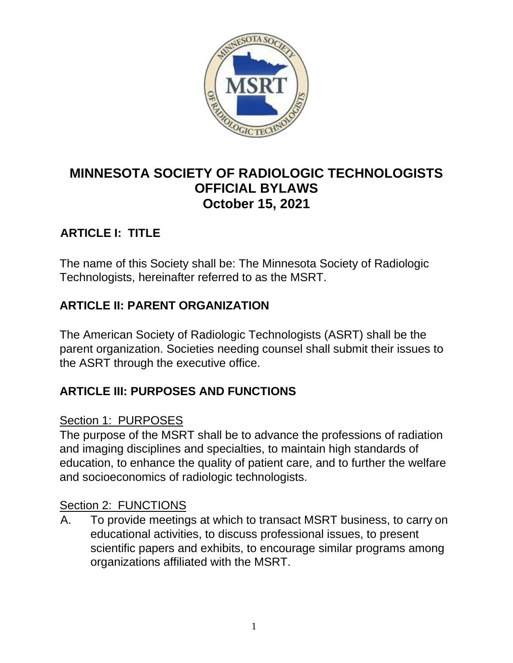

# **MINNESOTA SOCIETY OF RADIOLOGIC TECHNOLOGISTS OFFICIAL BYLAWS October 15, 2021**

# **ARTICLE I: TITLE**

The name of this Society shall be: The Minnesota Society of Radiologic Technologists, hereinafter referred to as the MSRT.

## **ARTICLE II: PARENT ORGANIZATION**

The American Society of Radiologic Technologists (ASRT) shall be the parent organization. Societies needing counsel shall submit their issues to the ASRT through the executive office.

## **ARTICLE III: PURPOSES AND FUNCTIONS**

#### Section 1: PURPOSES

The purpose of the MSRT shall be to advance the professions of radiation and imaging disciplines and specialties, to maintain high standards of education, to enhance the quality of patient care, and to further the welfare and socioeconomics of radiologic technologists.

#### Section 2: FUNCTIONS

A. To provide meetings at which to transact MSRT business, to carry on educational activities, to discuss professional issues, to present scientific papers and exhibits, to encourage similar programs among organizations affiliated with the MSRT.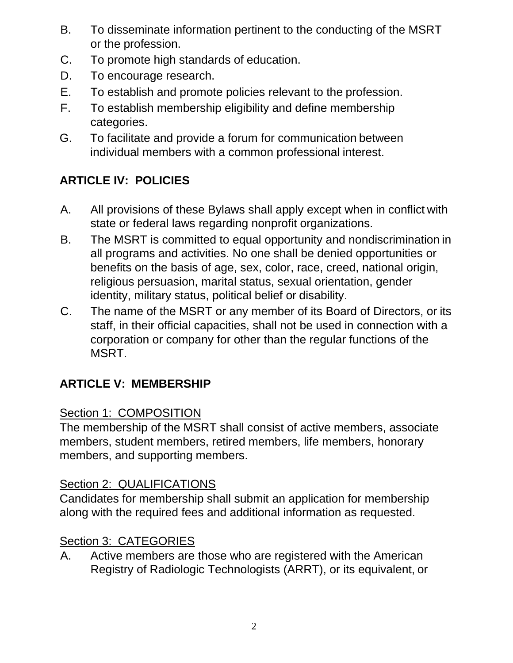- B. To disseminate information pertinent to the conducting of the MSRT or the profession.
- C. To promote high standards of education.
- D. To encourage research.
- E. To establish and promote policies relevant to the profession.
- F. To establish membership eligibility and define membership categories.
- G. To facilitate and provide a forum for communication between individual members with a common professional interest.

# **ARTICLE IV: POLICIES**

- A. All provisions of these Bylaws shall apply except when in conflict with state or federal laws regarding nonprofit organizations.
- B. The MSRT is committed to equal opportunity and nondiscrimination in all programs and activities. No one shall be denied opportunities or benefits on the basis of age, sex, color, race, creed, national origin, religious persuasion, marital status, sexual orientation, gender identity, military status, political belief or disability.
- C. The name of the MSRT or any member of its Board of Directors, or its staff, in their official capacities, shall not be used in connection with a corporation or company for other than the regular functions of the MSRT.

# **ARTICLE V: MEMBERSHIP**

## Section 1: COMPOSITION

The membership of the MSRT shall consist of active members, associate members, student members, retired members, life members, honorary members, and supporting members.

## Section 2: QUALIFICATIONS

Candidates for membership shall submit an application for membership along with the required fees and additional information as requested.

## Section 3: CATEGORIES

A. Active members are those who are registered with the American Registry of Radiologic Technologists (ARRT), or its equivalent, or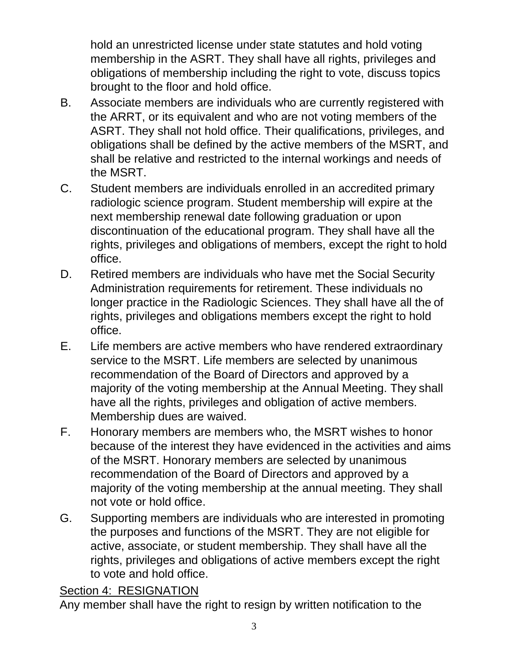hold an unrestricted license under state statutes and hold voting membership in the ASRT. They shall have all rights, privileges and obligations of membership including the right to vote, discuss topics brought to the floor and hold office.

- B. Associate members are individuals who are currently registered with the ARRT, or its equivalent and who are not voting members of the ASRT. They shall not hold office. Their qualifications, privileges, and obligations shall be defined by the active members of the MSRT, and shall be relative and restricted to the internal workings and needs of the MSRT.
- C. Student members are individuals enrolled in an accredited primary radiologic science program. Student membership will expire at the next membership renewal date following graduation or upon discontinuation of the educational program. They shall have all the rights, privileges and obligations of members, except the right to hold office.
- D. Retired members are individuals who have met the Social Security Administration requirements for retirement. These individuals no longer practice in the Radiologic Sciences. They shall have all the of rights, privileges and obligations members except the right to hold office.
- E. Life members are active members who have rendered extraordinary service to the MSRT. Life members are selected by unanimous recommendation of the Board of Directors and approved by a majority of the voting membership at the Annual Meeting. They shall have all the rights, privileges and obligation of active members. Membership dues are waived.
- F. Honorary members are members who, the MSRT wishes to honor because of the interest they have evidenced in the activities and aims of the MSRT. Honorary members are selected by unanimous recommendation of the Board of Directors and approved by a majority of the voting membership at the annual meeting. They shall not vote or hold office.
- G. Supporting members are individuals who are interested in promoting the purposes and functions of the MSRT. They are not eligible for active, associate, or student membership. They shall have all the rights, privileges and obligations of active members except the right to vote and hold office.

## Section 4: RESIGNATION

Any member shall have the right to resign by written notification to the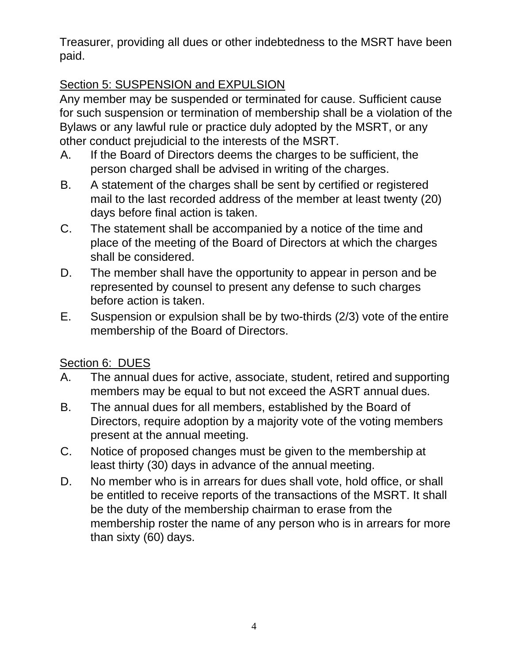Treasurer, providing all dues or other indebtedness to the MSRT have been paid.

# Section 5: SUSPENSION and EXPULSION

Any member may be suspended or terminated for cause. Sufficient cause for such suspension or termination of membership shall be a violation of the Bylaws or any lawful rule or practice duly adopted by the MSRT, or any other conduct prejudicial to the interests of the MSRT.

- A. If the Board of Directors deems the charges to be sufficient, the person charged shall be advised in writing of the charges.
- B. A statement of the charges shall be sent by certified or registered mail to the last recorded address of the member at least twenty (20) days before final action is taken.
- C. The statement shall be accompanied by a notice of the time and place of the meeting of the Board of Directors at which the charges shall be considered.
- D. The member shall have the opportunity to appear in person and be represented by counsel to present any defense to such charges before action is taken.
- E. Suspension or expulsion shall be by two-thirds (2/3) vote of the entire membership of the Board of Directors.

## Section 6: DUES

- A. The annual dues for active, associate, student, retired and supporting members may be equal to but not exceed the ASRT annual dues.
- B. The annual dues for all members, established by the Board of Directors, require adoption by a majority vote of the voting members present at the annual meeting.
- C. Notice of proposed changes must be given to the membership at least thirty (30) days in advance of the annual meeting.
- D. No member who is in arrears for dues shall vote, hold office, or shall be entitled to receive reports of the transactions of the MSRT. It shall be the duty of the membership chairman to erase from the membership roster the name of any person who is in arrears for more than sixty (60) days.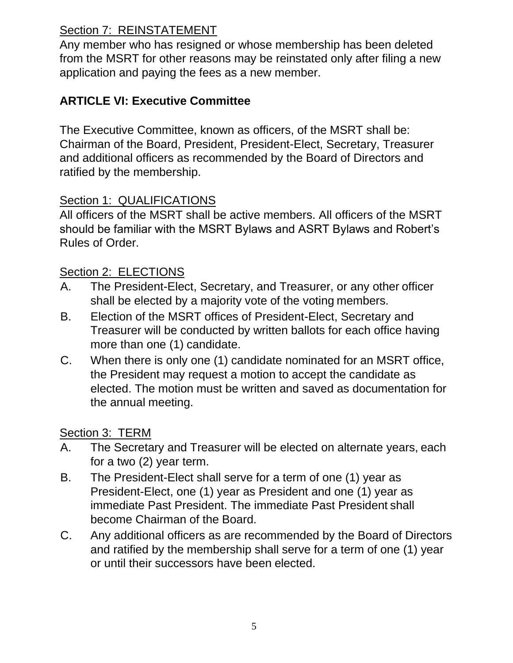# Section 7: REINSTATEMENT

Any member who has resigned or whose membership has been deleted from the MSRT for other reasons may be reinstated only after filing a new application and paying the fees as a new member.

## **ARTICLE VI: Executive Committee**

The Executive Committee, known as officers, of the MSRT shall be: Chairman of the Board, President, President-Elect, Secretary, Treasurer and additional officers as recommended by the Board of Directors and ratified by the membership.

## Section 1: QUALIFICATIONS

All officers of the MSRT shall be active members. All officers of the MSRT should be familiar with the MSRT Bylaws and ASRT Bylaws and Robert's Rules of Order.

### Section 2: ELECTIONS

- A. The President-Elect, Secretary, and Treasurer, or any other officer shall be elected by a majority vote of the voting members.
- B. Election of the MSRT offices of President-Elect, Secretary and Treasurer will be conducted by written ballots for each office having more than one (1) candidate.
- C. When there is only one (1) candidate nominated for an MSRT office, the President may request a motion to accept the candidate as elected. The motion must be written and saved as documentation for the annual meeting.

#### Section 3: TERM

- A. The Secretary and Treasurer will be elected on alternate years, each for a two (2) year term.
- B. The President-Elect shall serve for a term of one (1) year as President-Elect, one (1) year as President and one (1) year as immediate Past President. The immediate Past President shall become Chairman of the Board.
- C. Any additional officers as are recommended by the Board of Directors and ratified by the membership shall serve for a term of one (1) year or until their successors have been elected.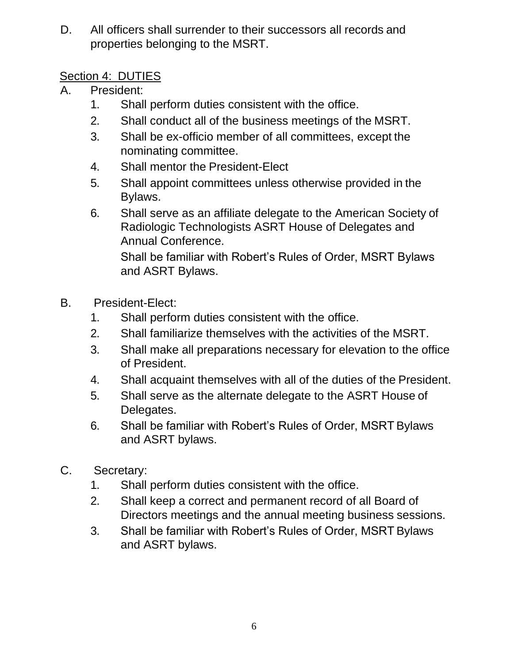D. All officers shall surrender to their successors all records and properties belonging to the MSRT.

## Section 4: DUTIES

- A. President:
	- 1. Shall perform duties consistent with the office.
	- 2. Shall conduct all of the business meetings of the MSRT.
	- 3. Shall be ex-officio member of all committees, except the nominating committee.
	- 4. Shall mentor the President-Elect
	- 5. Shall appoint committees unless otherwise provided in the Bylaws.
	- 6. Shall serve as an affiliate delegate to the American Society of Radiologic Technologists ASRT House of Delegates and Annual Conference.

Shall be familiar with Robert's Rules of Order, MSRT Bylaws and ASRT Bylaws.

- B. President-Elect:
	- 1. Shall perform duties consistent with the office.
	- 2. Shall familiarize themselves with the activities of the MSRT.
	- 3. Shall make all preparations necessary for elevation to the office of President.
	- 4. Shall acquaint themselves with all of the duties of the President.
	- 5. Shall serve as the alternate delegate to the ASRT House of Delegates.
	- 6. Shall be familiar with Robert's Rules of Order, MSRT Bylaws and ASRT bylaws.
- C. Secretary:
	- 1. Shall perform duties consistent with the office.
	- 2. Shall keep a correct and permanent record of all Board of Directors meetings and the annual meeting business sessions.
	- 3. Shall be familiar with Robert's Rules of Order, MSRT Bylaws and ASRT bylaws.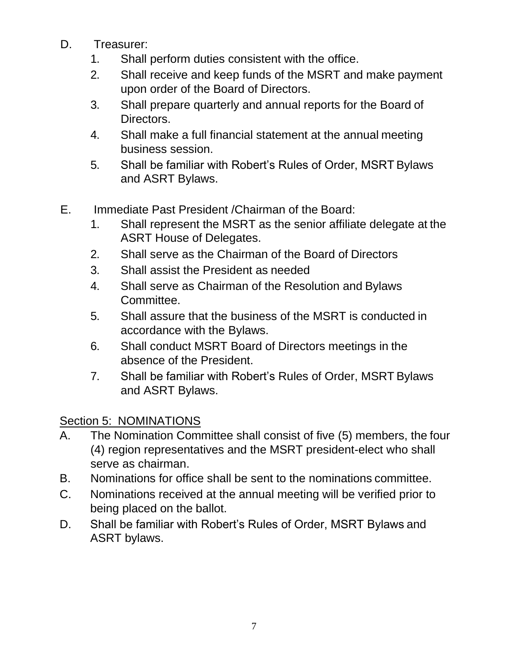- D. Treasurer:
	- 1. Shall perform duties consistent with the office.
	- 2. Shall receive and keep funds of the MSRT and make payment upon order of the Board of Directors.
	- 3. Shall prepare quarterly and annual reports for the Board of Directors.
	- 4. Shall make a full financial statement at the annual meeting business session.
	- 5. Shall be familiar with Robert's Rules of Order, MSRT Bylaws and ASRT Bylaws.
- E. Immediate Past President /Chairman of the Board:
	- 1. Shall represent the MSRT as the senior affiliate delegate at the ASRT House of Delegates.
	- 2. Shall serve as the Chairman of the Board of Directors
	- 3. Shall assist the President as needed
	- 4. Shall serve as Chairman of the Resolution and Bylaws Committee.
	- 5. Shall assure that the business of the MSRT is conducted in accordance with the Bylaws.
	- 6. Shall conduct MSRT Board of Directors meetings in the absence of the President.
	- 7. Shall be familiar with Robert's Rules of Order, MSRT Bylaws and ASRT Bylaws.

# Section 5: NOMINATIONS

- A. The Nomination Committee shall consist of five (5) members, the four (4) region representatives and the MSRT president-elect who shall serve as chairman.
- B. Nominations for office shall be sent to the nominations committee.
- C. Nominations received at the annual meeting will be verified prior to being placed on the ballot.
- D. Shall be familiar with Robert's Rules of Order, MSRT Bylaws and ASRT bylaws.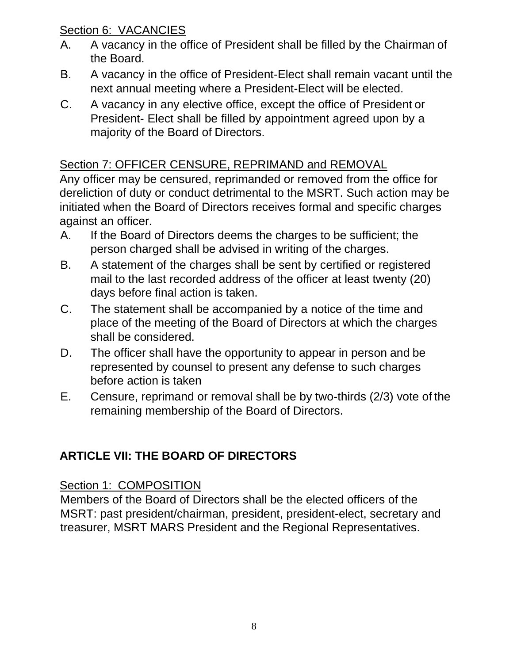## Section 6: VACANCIES

- A. A vacancy in the office of President shall be filled by the Chairman of the Board.
- B. A vacancy in the office of President-Elect shall remain vacant until the next annual meeting where a President-Elect will be elected.
- C. A vacancy in any elective office, except the office of President or President- Elect shall be filled by appointment agreed upon by a majority of the Board of Directors.

# Section 7: OFFICER CENSURE, REPRIMAND and REMOVAL

Any officer may be censured, reprimanded or removed from the office for dereliction of duty or conduct detrimental to the MSRT. Such action may be initiated when the Board of Directors receives formal and specific charges against an officer.

- A. If the Board of Directors deems the charges to be sufficient; the person charged shall be advised in writing of the charges.
- B. A statement of the charges shall be sent by certified or registered mail to the last recorded address of the officer at least twenty (20) days before final action is taken.
- C. The statement shall be accompanied by a notice of the time and place of the meeting of the Board of Directors at which the charges shall be considered.
- D. The officer shall have the opportunity to appear in person and be represented by counsel to present any defense to such charges before action is taken
- E. Censure, reprimand or removal shall be by two-thirds (2/3) vote of the remaining membership of the Board of Directors.

# **ARTICLE VII: THE BOARD OF DIRECTORS**

# Section 1: COMPOSITION

Members of the Board of Directors shall be the elected officers of the MSRT: past president/chairman, president, president-elect, secretary and treasurer, MSRT MARS President and the Regional Representatives.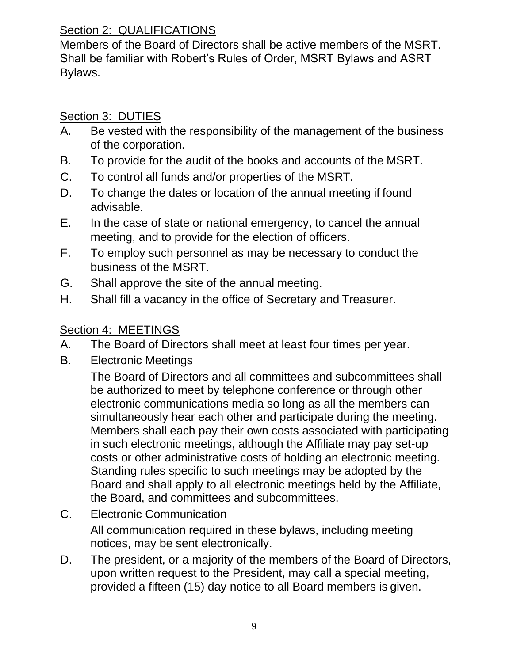## Section 2: QUALIFICATIONS

Members of the Board of Directors shall be active members of the MSRT. Shall be familiar with Robert's Rules of Order, MSRT Bylaws and ASRT Bylaws.

# Section 3: DUTIES

- A. Be vested with the responsibility of the management of the business of the corporation.
- B. To provide for the audit of the books and accounts of the MSRT.
- C. To control all funds and/or properties of the MSRT.
- D. To change the dates or location of the annual meeting if found advisable.
- E. In the case of state or national emergency, to cancel the annual meeting, and to provide for the election of officers.
- F. To employ such personnel as may be necessary to conduct the business of the MSRT.
- G. Shall approve the site of the annual meeting.
- H. Shall fill a vacancy in the office of Secretary and Treasurer.

# Section 4: MEETINGS

- A. The Board of Directors shall meet at least four times per year.
- B. Electronic Meetings

The Board of Directors and all committees and subcommittees shall be authorized to meet by telephone conference or through other electronic communications media so long as all the members can simultaneously hear each other and participate during the meeting. Members shall each pay their own costs associated with participating in such electronic meetings, although the Affiliate may pay set-up costs or other administrative costs of holding an electronic meeting. Standing rules specific to such meetings may be adopted by the Board and shall apply to all electronic meetings held by the Affiliate, the Board, and committees and subcommittees.

C. Electronic Communication

All communication required in these bylaws, including meeting notices, may be sent electronically.

D. The president, or a majority of the members of the Board of Directors, upon written request to the President, may call a special meeting, provided a fifteen (15) day notice to all Board members is given.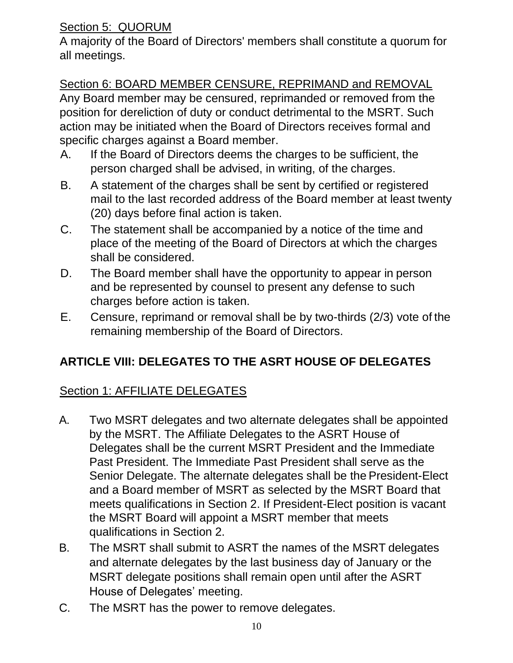## Section 5: QUORUM

A majority of the Board of Directors' members shall constitute a quorum for all meetings.

## Section 6: BOARD MEMBER CENSURE, REPRIMAND and REMOVAL

Any Board member may be censured, reprimanded or removed from the position for dereliction of duty or conduct detrimental to the MSRT. Such action may be initiated when the Board of Directors receives formal and specific charges against a Board member.

- A. If the Board of Directors deems the charges to be sufficient, the person charged shall be advised, in writing, of the charges.
- B. A statement of the charges shall be sent by certified or registered mail to the last recorded address of the Board member at least twenty (20) days before final action is taken.
- C. The statement shall be accompanied by a notice of the time and place of the meeting of the Board of Directors at which the charges shall be considered.
- D. The Board member shall have the opportunity to appear in person and be represented by counsel to present any defense to such charges before action is taken.
- E. Censure, reprimand or removal shall be by two-thirds (2/3) vote of the remaining membership of the Board of Directors.

# **ARTICLE VIII: DELEGATES TO THE ASRT HOUSE OF DELEGATES**

# Section 1: AFFILIATE DELEGATES

- A. Two MSRT delegates and two alternate delegates shall be appointed by the MSRT. The Affiliate Delegates to the ASRT House of Delegates shall be the current MSRT President and the Immediate Past President. The Immediate Past President shall serve as the Senior Delegate. The alternate delegates shall be the President-Elect and a Board member of MSRT as selected by the MSRT Board that meets qualifications in Section 2. If President-Elect position is vacant the MSRT Board will appoint a MSRT member that meets qualifications in Section 2.
- B. The MSRT shall submit to ASRT the names of the MSRT delegates and alternate delegates by the last business day of January or the MSRT delegate positions shall remain open until after the ASRT House of Delegates' meeting.
- C. The MSRT has the power to remove delegates.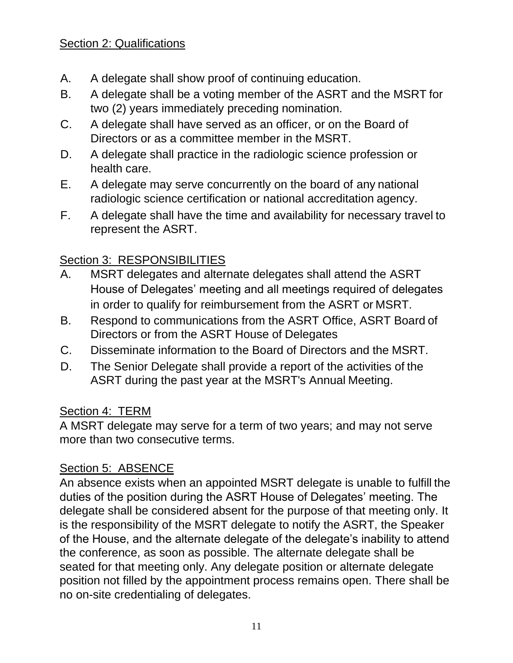## Section 2: Qualifications

- A. A delegate shall show proof of continuing education.
- B. A delegate shall be a voting member of the ASRT and the MSRT for two (2) years immediately preceding nomination.
- C. A delegate shall have served as an officer, or on the Board of Directors or as a committee member in the MSRT.
- D. A delegate shall practice in the radiologic science profession or health care.
- E. A delegate may serve concurrently on the board of any national radiologic science certification or national accreditation agency.
- F. A delegate shall have the time and availability for necessary travel to represent the ASRT.

## Section 3: RESPONSIBILITIES

- A. MSRT delegates and alternate delegates shall attend the ASRT House of Delegates' meeting and all meetings required of delegates in order to qualify for reimbursement from the ASRT or MSRT.
- B. Respond to communications from the ASRT Office, ASRT Board of Directors or from the ASRT House of Delegates
- C. Disseminate information to the Board of Directors and the MSRT.
- D. The Senior Delegate shall provide a report of the activities of the ASRT during the past year at the MSRT's Annual Meeting.

#### Section 4: TERM

A MSRT delegate may serve for a term of two years; and may not serve more than two consecutive terms.

## Section 5: ABSENCE

An absence exists when an appointed MSRT delegate is unable to fulfill the duties of the position during the ASRT House of Delegates' meeting. The delegate shall be considered absent for the purpose of that meeting only. It is the responsibility of the MSRT delegate to notify the ASRT, the Speaker of the House, and the alternate delegate of the delegate's inability to attend the conference, as soon as possible. The alternate delegate shall be seated for that meeting only. Any delegate position or alternate delegate position not filled by the appointment process remains open. There shall be no on-site credentialing of delegates.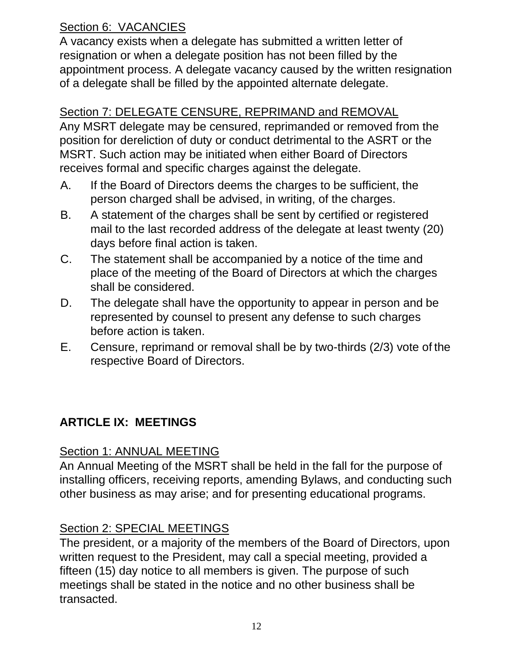# Section 6: VACANCIES

A vacancy exists when a delegate has submitted a written letter of resignation or when a delegate position has not been filled by the appointment process. A delegate vacancy caused by the written resignation of a delegate shall be filled by the appointed alternate delegate.

## Section 7: DELEGATE CENSURE, REPRIMAND and REMOVAL

Any MSRT delegate may be censured, reprimanded or removed from the position for dereliction of duty or conduct detrimental to the ASRT or the MSRT. Such action may be initiated when either Board of Directors receives formal and specific charges against the delegate.

- A. If the Board of Directors deems the charges to be sufficient, the person charged shall be advised, in writing, of the charges.
- B. A statement of the charges shall be sent by certified or registered mail to the last recorded address of the delegate at least twenty (20) days before final action is taken.
- C. The statement shall be accompanied by a notice of the time and place of the meeting of the Board of Directors at which the charges shall be considered.
- D. The delegate shall have the opportunity to appear in person and be represented by counsel to present any defense to such charges before action is taken.
- E. Censure, reprimand or removal shall be by two-thirds (2/3) vote of the respective Board of Directors.

# **ARTICLE IX: MEETINGS**

## Section 1: ANNUAL MEETING

An Annual Meeting of the MSRT shall be held in the fall for the purpose of installing officers, receiving reports, amending Bylaws, and conducting such other business as may arise; and for presenting educational programs.

## Section 2: SPECIAL MEETINGS

The president, or a majority of the members of the Board of Directors, upon written request to the President, may call a special meeting, provided a fifteen (15) day notice to all members is given. The purpose of such meetings shall be stated in the notice and no other business shall be transacted.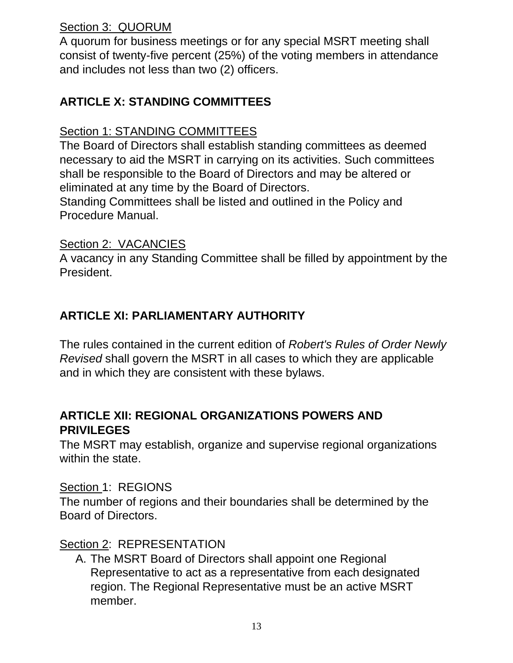## Section 3: QUORUM

A quorum for business meetings or for any special MSRT meeting shall consist of twenty-five percent (25%) of the voting members in attendance and includes not less than two (2) officers.

## **ARTICLE X: STANDING COMMITTEES**

### Section 1: STANDING COMMITTEES

The Board of Directors shall establish standing committees as deemed necessary to aid the MSRT in carrying on its activities. Such committees shall be responsible to the Board of Directors and may be altered or eliminated at any time by the Board of Directors.

Standing Committees shall be listed and outlined in the Policy and Procedure Manual.

## Section 2: VACANCIES

A vacancy in any Standing Committee shall be filled by appointment by the President.

## **ARTICLE XI: PARLIAMENTARY AUTHORITY**

The rules contained in the current edition of *Robert's Rules of Order Newly Revised* shall govern the MSRT in all cases to which they are applicable and in which they are consistent with these bylaws.

## **ARTICLE XII: REGIONAL ORGANIZATIONS POWERS AND PRIVILEGES**

The MSRT may establish, organize and supervise regional organizations within the state.

#### Section 1: REGIONS

The number of regions and their boundaries shall be determined by the Board of Directors.

## Section 2: REPRESENTATION

A. The MSRT Board of Directors shall appoint one Regional Representative to act as a representative from each designated region. The Regional Representative must be an active MSRT member.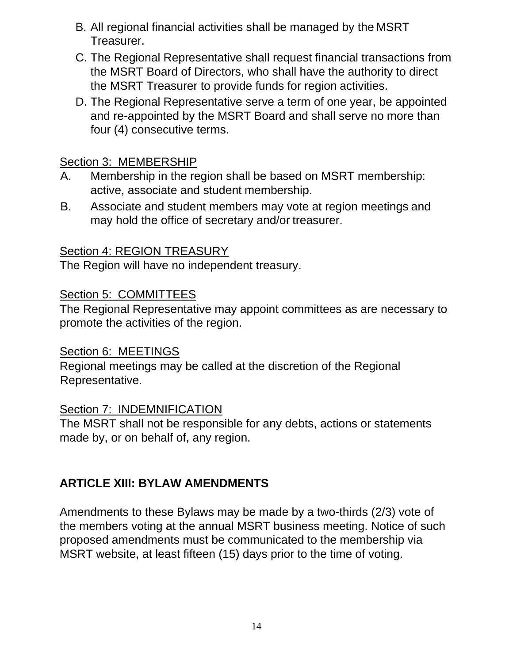- B. All regional financial activities shall be managed by the MSRT Treasurer.
- C. The Regional Representative shall request financial transactions from the MSRT Board of Directors, who shall have the authority to direct the MSRT Treasurer to provide funds for region activities.
- D. The Regional Representative serve a term of one year, be appointed and re-appointed by the MSRT Board and shall serve no more than four (4) consecutive terms.

### Section 3: MEMBERSHIP

- A. Membership in the region shall be based on MSRT membership: active, associate and student membership.
- B. Associate and student members may vote at region meetings and may hold the office of secretary and/or treasurer.

### Section 4: REGION TREASURY

The Region will have no independent treasury.

#### Section 5: COMMITTEES

The Regional Representative may appoint committees as are necessary to promote the activities of the region.

#### Section 6: MEETINGS

Regional meetings may be called at the discretion of the Regional Representative.

#### Section 7: INDEMNIFICATION

The MSRT shall not be responsible for any debts, actions or statements made by, or on behalf of, any region.

## **ARTICLE XIII: BYLAW AMENDMENTS**

Amendments to these Bylaws may be made by a two-thirds (2/3) vote of the members voting at the annual MSRT business meeting. Notice of such proposed amendments must be communicated to the membership via MSRT website, at least fifteen (15) days prior to the time of voting.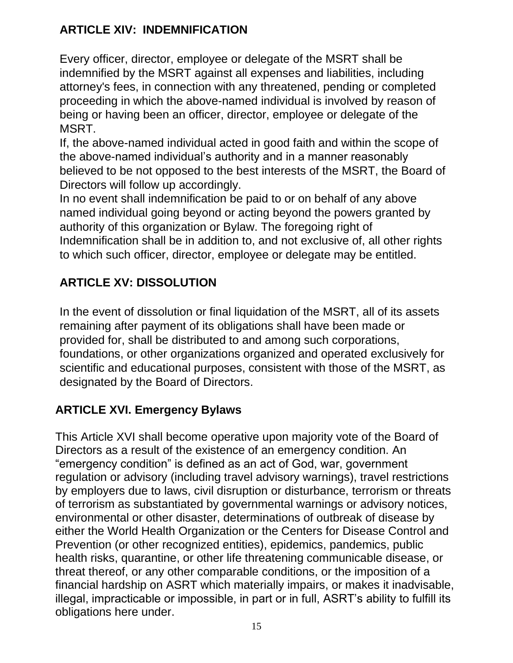# **ARTICLE XIV: INDEMNIFICATION**

Every officer, director, employee or delegate of the MSRT shall be indemnified by the MSRT against all expenses and liabilities, including attorney's fees, in connection with any threatened, pending or completed proceeding in which the above-named individual is involved by reason of being or having been an officer, director, employee or delegate of the MSRT.

If, the above-named individual acted in good faith and within the scope of the above-named individual's authority and in a manner reasonably believed to be not opposed to the best interests of the MSRT, the Board of Directors will follow up accordingly.

In no event shall indemnification be paid to or on behalf of any above named individual going beyond or acting beyond the powers granted by authority of this organization or Bylaw. The foregoing right of Indemnification shall be in addition to, and not exclusive of, all other rights to which such officer, director, employee or delegate may be entitled.

# **ARTICLE XV: DISSOLUTION**

In the event of dissolution or final liquidation of the MSRT, all of its assets remaining after payment of its obligations shall have been made or provided for, shall be distributed to and among such corporations, foundations, or other organizations organized and operated exclusively for scientific and educational purposes, consistent with those of the MSRT, as designated by the Board of Directors.

# **ARTICLE XVI. Emergency Bylaws**

This Article XVI shall become operative upon majority vote of the Board of Directors as a result of the existence of an emergency condition. An "emergency condition" is defined as an act of God, war, government regulation or advisory (including travel advisory warnings), travel restrictions by employers due to laws, civil disruption or disturbance, terrorism or threats of terrorism as substantiated by governmental warnings or advisory notices, environmental or other disaster, determinations of outbreak of disease by either the World Health Organization or the Centers for Disease Control and Prevention (or other recognized entities), epidemics, pandemics, public health risks, quarantine, or other life threatening communicable disease, or threat thereof, or any other comparable conditions, or the imposition of a financial hardship on ASRT which materially impairs, or makes it inadvisable, illegal, impracticable or impossible, in part or in full, ASRT's ability to fulfill its obligations here under.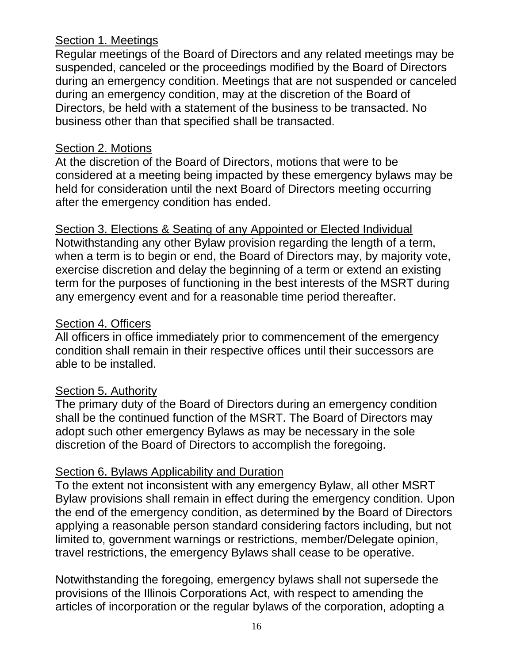#### Section 1. Meetings

Regular meetings of the Board of Directors and any related meetings may be suspended, canceled or the proceedings modified by the Board of Directors during an emergency condition. Meetings that are not suspended or canceled during an emergency condition, may at the discretion of the Board of Directors, be held with a statement of the business to be transacted. No business other than that specified shall be transacted.

### Section 2. Motions

At the discretion of the Board of Directors, motions that were to be considered at a meeting being impacted by these emergency bylaws may be held for consideration until the next Board of Directors meeting occurring after the emergency condition has ended.

Section 3. Elections & Seating of any Appointed or Elected Individual Notwithstanding any other Bylaw provision regarding the length of a term, when a term is to begin or end, the Board of Directors may, by majority vote, exercise discretion and delay the beginning of a term or extend an existing term for the purposes of functioning in the best interests of the MSRT during any emergency event and for a reasonable time period thereafter.

## Section 4. Officers

All officers in office immediately prior to commencement of the emergency condition shall remain in their respective offices until their successors are able to be installed.

## Section 5. Authority

The primary duty of the Board of Directors during an emergency condition shall be the continued function of the MSRT. The Board of Directors may adopt such other emergency Bylaws as may be necessary in the sole discretion of the Board of Directors to accomplish the foregoing.

## Section 6. Bylaws Applicability and Duration

To the extent not inconsistent with any emergency Bylaw, all other MSRT Bylaw provisions shall remain in effect during the emergency condition. Upon the end of the emergency condition, as determined by the Board of Directors applying a reasonable person standard considering factors including, but not limited to, government warnings or restrictions, member/Delegate opinion, travel restrictions, the emergency Bylaws shall cease to be operative.

Notwithstanding the foregoing, emergency bylaws shall not supersede the provisions of the Illinois Corporations Act, with respect to amending the articles of incorporation or the regular bylaws of the corporation, adopting a